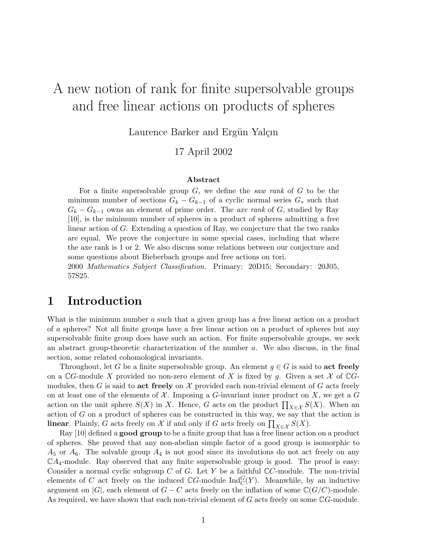# A new notion of rank for finite supersolvable groups and free linear actions on products of spheres

Laurence Barker and Ergün Yalçın

17 April 2002

#### Abstract

For a finite supersolvable group  $G$ , we define the saw rank of  $G$  to be the minimum number of sections  $G_k - G_{k-1}$  of a cyclic normal series  $G_*$  such that  $G_k - G_{k-1}$  owns an element of prime order. The axe rank of G, studied by Ray [10], is the minimum number of spheres in a product of spheres admitting a free linear action of G. Extending a question of Ray, we conjecture that the two ranks are equal. We prove the conjecture in some special cases, including that where the axe rank is 1 or 2. We also discuss some relations between our conjecture and some questions about Bieberbach groups and free actions on tori.

2000 Mathematics Subject Classification. Primary: 20D15; Secondary: 20J05, 57S25.

## 1 Introduction

What is the minimum number a such that a given group has a free linear action on a product of a spheres? Not all finite groups have a free linear action on a product of spheres but any supersolvable finite group does have such an action. For finite supersolvable groups, we seek an abstract group-theoretic characterization of the number a. We also discuss, in the final section, some related cohomological invariants.

Throughout, let G be a finite supersolvable group. An element  $g \in G$  is said to act freely on a  $\mathbb{C}G$ -module X provided no non-zero element of X is fixed by g. Given a set X of  $\mathbb{C}G$ modules, then G is said to act freely on X provided each non-trivial element of G acts freely on at least one of the elements of  $\mathcal X$ . Imposing a G-invariant inner product on X, we get a G action on the unit sphere  $S(X)$  in X. Hence, G acts on the product  $\prod_{X \in \mathcal{X}} S(X)$ . When an action on the unit sphere  $S(X)$  in X. Hence, G acts on the product  $\prod_{X \in \mathcal{X}} S(X)$ . When an action of G on a product of spheres can be constructed in this way, we say that the action is action of G on a product of spheres can be constructed in this way, we say that<br>**linear**. Plainly, G acts freely on  $\mathcal X$  if and only if G acts freely on  $\prod_{X \in \mathcal X} S(X)$ .

Ray [10] defined a good group to be a finite group that has a free linear action on a product of spheres. She proved that any non-abelian simple factor of a good group is isomorphic to  $A_5$  or  $A_6$ . The solvable group  $A_4$  is not good since its involutions do not act freely on any  $\mathbb{C}A_4$ -module. Ray observed that any finite supersolvable group is good. The proof is easy: Consider a normal cyclic subgroup C of G. Let Y be a faithful  $\mathbb{C}C$ -module. The non-trivial elements of C act freely on the induced  $\mathbb{C}G$ -module  $\text{Ind}_{C}^{G}(Y)$ . Meanwhile, by an inductive argument on |G|, each element of  $G - C$  acts freely on the inflation of some  $\mathbb{C}(G/C)$ -module. As required, we have shown that each non-trivial element of G acts freely on some CG-module.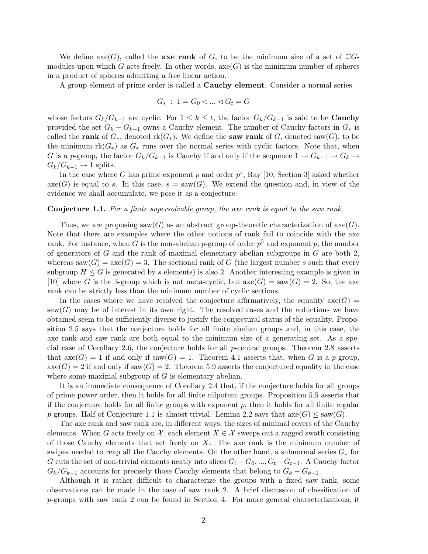We define axe(G), called the **axe rank** of G, to be the minimum size of a set of  $\mathbb{C}G$ modules upon which G acts freely. In other words,  $\operatorname{axe}(G)$  is the minimum number of spheres in a product of spheres admitting a free linear action.

A group element of prime order is called a Cauchy element. Consider a normal series

$$
G_* \; : \; 1 = G_0 \lhd \ldots \lhd G_t = G
$$

whose factors  $G_k/G_{k-1}$  are cyclic. For  $1 \leq k \leq t$ , the factor  $G_k/G_{k-1}$  is said to be **Cauchy** provided the set  $G_k - G_{k-1}$  owns a Cauchy element. The number of Cauchy factors in  $G_*$  is called the rank of  $G_*$ , denoted rk $(G_*)$ . We define the saw rank of G, denoted saw $(G)$ , to be the minimum  $rk(G_*)$  as  $G_*$  runs over the normal series with cyclic factors. Note that, when G is a p-group, the factor  $G_k/G_{k-1}$  is Cauchy if and only if the sequence  $1 \to G_{k-1} \to G_k \to$  $G_k/G_{k-1} \to 1$  splits.

In the case where G has prime exponent p and order  $p^s$ , Ray [10, Section 3] asked whether  $\mathrm{axe}(G)$  is equal to s. In this case,  $s = \mathrm{ saw}(G)$ . We extend the question and, in view of the evidence we shall accumulate, we pose it as a conjecture:

#### Conjecture 1.1. For a finite supersolvable group, the axe rank is equal to the saw rank.

Thus, we are proposing saw(G) as an abstract group-theoretic characterization of  $\operatorname{ax}(G)$ . Note that there are examples where the other notions of rank fail to coincide with the axe rank. For instance, when G is the non-abelian p-group of order  $p^3$  and exponent p, the number of generators of  $G$  and the rank of maximal elementary abelian subgroups in  $G$  are both 2, whereas saw $(G) = \text{axe}(G) = 3$ . The sectional rank of G (the largest number s such that every subgroup  $H \leq G$  is generated by s elements) is also 2. Another interesting example is given in [10] where G is the 3-group which is not meta-cyclic, but  $\operatorname{asc}(G) = \operatorname{sam}(G) = 2$ . So, the axe rank can be strictly less than the minimum number of cyclic sections.

In the cases where we have resolved the conjecture affirmatively, the equality  $axe(G)$  =  $saw(G)$  may be of interest in its own right. The resolved cases and the reductions we have obtained seem to be sufficiently diverse to justify the conjectural status of the equality. Proposition 2.5 says that the conjecture holds for all finite abelian groups and, in this case, the axe rank and saw rank are both equal to the minimum size of a generating set. As a special case of Corollary 2.6, the conjecture holds for all p-central groups. Theorem 2.8 asserts that  $\operatorname{axe}(G) = 1$  if and only if  $\operatorname{ saw}(G) = 1$ . Theorem 4.1 asserts that, when G is a p-group,  $\operatorname{axe}(G) = 2$  if and only if  $\operatorname{ saw}(G) = 2$ . Theorem 5.9 asserts the conjectured equality in the case where some maximal subgroup of  $G$  is elementary abelian.

It is an immediate consequence of Corollary 2.4 that, if the conjecture holds for all groups of prime power order, then it holds for all finite nilpotent groups. Proposition 5.5 asserts that if the conjecture holds for all finite groups with exponent  $p$ , then it holds for all finite regular p-groups. Half of Conjecture 1.1 is almost trivial: Lemma 2.2 says that  $\operatorname{asc}(G) \leq \operatorname{sav}(G)$ .

The axe rank and saw rank are, in different ways, the sizes of minimal covers of the Cauchy elements. When G acts freely on X, each element  $X \in \mathcal{X}$  sweeps out a ragged swath consisting of those Cauchy elements that act freely on  $X$ . The axe rank is the minimum number of swipes needed to reap all the Cauchy elements. On the other hand, a subnormal series  $G_*$  for G cuts the set of non-trivial elements neatly into slices  $G_1 - G_0, ..., G_t - G_{t-1}$ . A Cauchy factor  $G_k/G_{k-1}$  accounts for precisely those Cauchy elements that belong to  $G_k - G_{k-1}$ .

Although it is rather difficult to characterize the groups with a fixed saw rank, some observations can be made in the case of saw rank 2. A brief discussion of classification of  $p$ -groups with saw rank 2 can be found in Section 4. For more general characterizations, it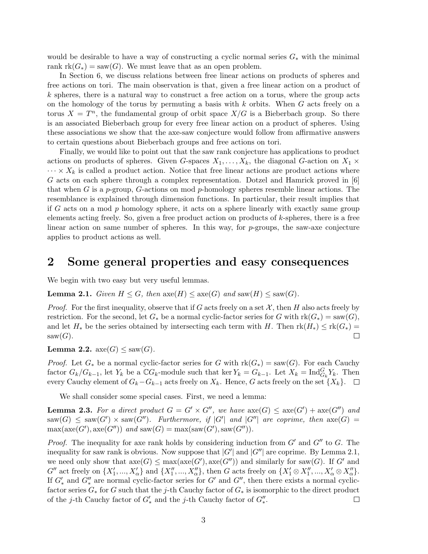would be desirable to have a way of constructing a cyclic normal series  $G_*$  with the minimal rank  $rk(G_*) = saw(G)$ . We must leave that as an open problem.

In Section 6, we discuss relations between free linear actions on products of spheres and free actions on tori. The main observation is that, given a free linear action on a product of  $k$  spheres, there is a natural way to construct a free action on a torus, where the group acts on the homology of the torus by permuting a basis with  $k$  orbits. When  $G$  acts freely on a torus  $X = T<sup>n</sup>$ , the fundamental group of orbit space  $X/G$  is a Bieberbach group. So there is an associated Bieberbach group for every free linear action on a product of spheres. Using these associations we show that the axe-saw conjecture would follow from affirmative answers to certain questions about Bieberbach groups and free actions on tori.

Finally, we would like to point out that the saw rank conjecture has applications to product actions on products of spheres. Given G-spaces  $X_1, \ldots, X_k$ , the diagonal G-action on  $X_1 \times$  $\cdots \times X_k$  is called a product action. Notice that free linear actions are product actions where G acts on each sphere through a complex representation. Dotzel and Hamrick proved in [6] that when G is a p-group, G-actions on mod p-homology spheres resemble linear actions. The resemblance is explained through dimension functions. In particular, their result implies that if G acts on a mod  $p$  homology sphere, it acts on a sphere linearly with exactly same group elements acting freely. So, given a free product action on products of k-spheres, there is a free linear action on same number of spheres. In this way, for p-groups, the saw-axe conjecture applies to product actions as well.

#### 2 Some general properties and easy consequences

We begin with two easy but very useful lemmas.

**Lemma 2.1.** Given  $H \leq G$ , then  $\operatorname{axe}(H) \leq \operatorname{axe}(G)$  and  $\operatorname{ saw}(H) \leq \operatorname{ saw}(G)$ .

*Proof.* For the first inequality, observe that if G acts freely on a set  $X$ , then H also acts freely by restriction. For the second, let  $G_*$  be a normal cyclic-factor series for G with  $rk(G_*) = saw(G)$ , and let  $H_*$  be the series obtained by intersecting each term with H. Then  $rk(H_*) \leq rk(G_*)$  $saw(G)$ .  $\Box$ 

**Lemma 2.2.** axe(G)  $\leq$  saw(G).

*Proof.* Let  $G_*$  be a normal cyclic-factor series for G with  $rk(G_*) = saw(G)$ . For each Cauchy factor  $G_k/G_{k-1}$ , let  $Y_k$  be a  $\mathbb{C}G_k$ -module such that ker  $Y_k = G_{k-1}$ . Let  $X_k = \text{Ind}_{G_k}^G Y_k$ . Then every Cauchy element of  $G_k-G_{k-1}$  acts freely on  $X_k$ . Hence, G acts freely on the set  $\{X_k\}$ .  $\Box$ 

We shall consider some special cases. First, we need a lemma:

**Lemma 2.3.** For a direct product  $G = G' \times G''$ , we have  $\operatorname{axe}(G) \leq \operatorname{axe}(G') + \operatorname{axe}(G'')$  and  $\text{ssaw}(G) \leq \text{ssaw}(G') \times \text{ssaw}(G'')$ . Furthermore, if |G'| and |G''| are coprime, then  $\text{axe}(G)$  =  $\max(\mathrm{axe}(G'), \mathrm{axe}(G''))$  and  $\mathrm{ saw}(G) = \max(\mathrm{ saw}(G'), \mathrm{ saw}(G'')).$ 

*Proof.* The inequality for axe rank holds by considering induction from  $G'$  and  $G''$  to  $G$ . The inequality for saw rank is obvious. Now suppose that  $|G'|$  and  $|G''|$  are coprime. By Lemma 2.1, we need only show that  $\mathrm{axe}(G) \leq \max(\mathrm{axe}(G'), \mathrm{axe}(G''))$  and similarly for  $\mathrm{ saw}(G)$ . If G' and  $G''$  act freely on  $\{X'_1, ..., X'_\alpha\}$  and  $\{X''_1, ..., X''_\alpha\}$ , then G acts freely on  $\{X'_1 \otimes X''_1, ..., X'_\alpha \otimes X''_\alpha\}$ . If  $G'_{*}$  and  $G''_{*}$  are normal cyclic-factor series for  $G'$  and  $G''$ , then there exists a normal cyclicfactor series  $G_*$  for G such that the j-th Cauchy factor of  $G_*$  is isomorphic to the direct product of the *j*-th Cauchy factor of  $G'_{*}$  and the *j*-th Cauchy factor of  $G''_{*}$ .  $\Box$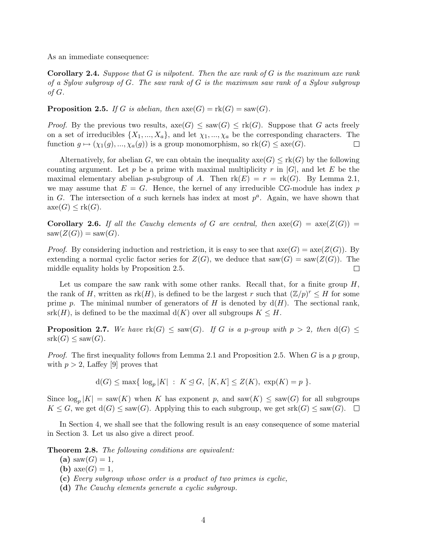As an immediate consequence:

**Corollary 2.4.** Suppose that  $G$  is nilpotent. Then the axe rank of  $G$  is the maximum axe rank of a Sylow subgroup of G. The saw rank of G is the maximum saw rank of a Sylow subgroup of  $G$ .

**Proposition 2.5.** If G is abelian, then  $\operatorname{axe}(G) = \operatorname{rk}(G) = \operatorname{ saw}(G)$ .

*Proof.* By the previous two results,  $\operatorname{axe}(G) \leq \operatorname{ saw}(G) \leq \operatorname{rk}(G)$ . Suppose that G acts freely on a set of irreducibles  $\{X_1, ..., X_a\}$ , and let  $\chi_1, ..., \chi_a$  be the corresponding characters. The function  $g \mapsto (\chi_1(g), ..., \chi_a(g))$  is a group monomorphism, so  $rk(G) \leq x\epsilon(G)$ .  $\Box$ 

Alternatively, for abelian G, we can obtain the inequality  $\operatorname{axe}(G) \leq \operatorname{rk}(G)$  by the following counting argument. Let p be a prime with maximal multiplicity r in  $|G|$ , and let E be the maximal elementary abelian p-subgroup of A. Then  $rk(E) = r = rk(G)$ . By Lemma 2.1, we may assume that  $E = G$ . Hence, the kernel of any irreducible CG-module has index p in G. The intersection of a such kernels has index at most  $p^a$ . Again, we have shown that  $\operatorname{axe}(G) \leq \operatorname{rk}(G)$ .

**Corollary 2.6.** If all the Cauchy elements of G are central, then  $\operatorname{axe}(G) = \operatorname{axe}(Z(G)) =$  $saw(Z(G)) = saw(G).$ 

*Proof.* By considering induction and restriction, it is easy to see that  $\operatorname{axe}(G) = \operatorname{axe}(Z(G))$ . By extending a normal cyclic factor series for  $Z(G)$ , we deduce that saw $(G) = \text{saw}(Z(G))$ . The  $\Box$ middle equality holds by Proposition 2.5.

Let us compare the saw rank with some other ranks. Recall that, for a finite group  $H$ , the rank of H, written as  $rk(H)$ , is defined to be the largest r such that  $(\mathbb{Z}/p)^r \leq H$  for some prime p. The minimal number of generators of H is denoted by  $d(H)$ . The sectional rank,  $srk(H)$ , is defined to be the maximal  $d(K)$  over all subgroups  $K \leq H$ .

**Proposition 2.7.** We have  $rk(G) \leq saw(G)$ . If G is a p-group with  $p > 2$ , then  $d(G) \leq$  $srk(G) \leq saw(G).$ 

*Proof.* The first inequality follows from Lemma 2.1 and Proposition 2.5. When G is a p group, with  $p > 2$ , Laffey [9] proves that

$$
d(G) \le \max\{ \log_p |K| : K \le G, [K, K] \le Z(K), \exp(K) = p \}.
$$

Since  $\log_p |K| = \text{saw}(K)$  when K has exponent p, and  $\text{saw}(K) \leq \text{saw}(G)$  for all subgroups  $K \leq G$ , we get  $d(G) \leq \text{saw}(G)$ . Applying this to each subgroup, we get  $\text{srk}(G) \leq \text{saw}(G)$ .  $\Box$ 

In Section 4, we shall see that the following result is an easy consequence of some material in Section 3. Let us also give a direct proof.

**Theorem 2.8.** The following conditions are equivalent:

- (a)  $saw(G) = 1$ ,
- (b)  $\mathrm{axe}(G) = 1$ ,
- (c) Every subgroup whose order is a product of two primes is cyclic,
- (d) The Cauchy elements generate a cyclic subgroup.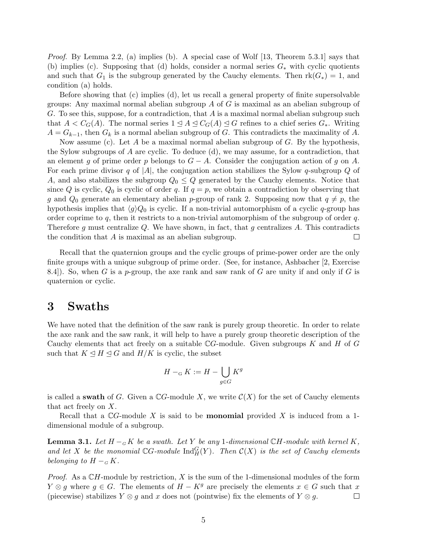*Proof.* By Lemma 2.2, (a) implies (b). A special case of Wolf [13, Theorem 5.3.1] says that (b) implies (c). Supposing that (d) holds, consider a normal series  $G_*$  with cyclic quotients and such that  $G_1$  is the subgroup generated by the Cauchy elements. Then  $rk(G_*)=1$ , and condition (a) holds.

Before showing that (c) implies (d), let us recall a general property of finite supersolvable groups: Any maximal normal abelian subgroup  $A$  of  $G$  is maximal as an abelian subgroup of G. To see this, suppose, for a contradiction, that  $A$  is a maximal normal abelian subgroup such that  $A < C_G(A)$ . The normal series  $1 \leq A \leq C_G(A) \leq G$  refines to a chief series  $G_*$ . Writing  $A = G_{k-1}$ , then  $G_k$  is a normal abelian subgroup of G. This contradicts the maximality of A.

Now assume (c). Let A be a maximal normal abelian subgroup of  $G$ . By the hypothesis, the Sylow subgroups of  $A$  are cyclic. To deduce (d), we may assume, for a contradiction, that an element g of prime order p belongs to  $G - A$ . Consider the conjugation action of g on A. For each prime divisor q of |A|, the conjugation action stabilizes the Sylow q-subgroup Q of A, and also stabilizes the subgroup  $Q_0 \leq Q$  generated by the Cauchy elements. Notice that since Q is cyclic,  $Q_0$  is cyclic of order q. If  $q = p$ , we obtain a contradiction by observing that g and  $Q_0$  generate an elementary abelian p-group of rank 2. Supposing now that  $q \neq p$ , the hypothesis implies that  $\langle g \rangle Q_0$  is cyclic. If a non-trivial automorphism of a cyclic q-group has order coprime to  $q$ , then it restricts to a non-trivial automorphism of the subgroup of order  $q$ . Therefore g must centralize Q. We have shown, in fact, that g centralizes A. This contradicts the condition that A is maximal as an abelian subgroup.  $\Box$ 

Recall that the quaternion groups and the cyclic groups of prime-power order are the only finite groups with a unique subgroup of prime order. (See, for instance, Ashbacher [2, Exercise 8.4.). So, when G is a p-group, the axe rank and saw rank of G are unity if and only if G is quaternion or cyclic.

### 3 Swaths

We have noted that the definition of the saw rank is purely group theoretic. In order to relate the axe rank and the saw rank, it will help to have a purely group theoretic description of the Cauchy elements that act freely on a suitable  $\mathbb{C}G$ -module. Given subgroups K and H of G such that  $K \trianglelefteq H \trianglelefteq G$  and  $H/K$  is cyclic, the subset

$$
H -_{\mathcal{G}} K := H - \bigcup_{g \in G} K^g
$$

is called a **swath** of G. Given a  $\mathbb{C}G$ -module X, we write  $\mathcal{C}(X)$  for the set of Cauchy elements that act freely on X.

Recall that a  $\mathbb{C}G$ -module X is said to be **monomial** provided X is induced from a 1dimensional module of a subgroup.

**Lemma 3.1.** Let  $H - G K$  be a swath. Let Y be any 1-dimensional CH-module with kernel K, and let X be the monomial  $\mathbb{C}G$ -module  $\text{Ind}_{H}^{G}(Y)$ . Then  $\mathcal{C}(X)$  is the set of Cauchy elements belonging to  $H -_G K$ .

*Proof.* As a  $\mathbb{C}H$ -module by restriction, X is the sum of the 1-dimensional modules of the form  $Y \otimes q$  where  $q \in G$ . The elements of  $H - K<sup>g</sup>$  are precisely the elements  $x \in G$  such that x (piecewise) stabilizes  $Y \otimes g$  and x does not (pointwise) fix the elements of  $Y \otimes g$ .  $\Box$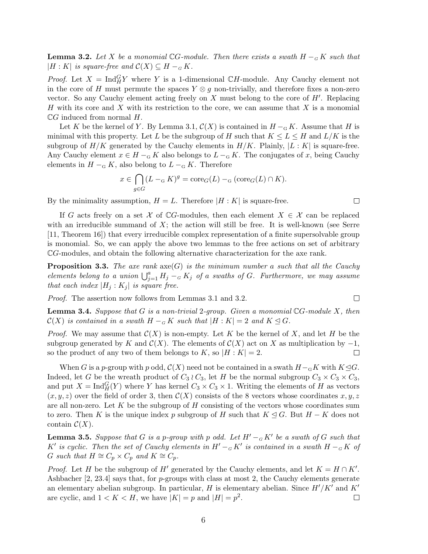**Lemma 3.2.** Let X be a monomial CG-module. Then there exists a swath  $H -_{G} K$  such that  $|H: K|$  is square-free and  $\mathcal{C}(X) \subseteq H -_G K$ .

*Proof.* Let  $X = \text{Ind}_{H}^{G} Y$  where Y is a 1-dimensional CH-module. Any Cauchy element not in the core of H must permute the spaces  $Y \otimes g$  non-trivially, and therefore fixes a non-zero vector. So any Cauchy element acting freely on  $X$  must belong to the core of  $H'$ . Replacing H with its core and X with its restriction to the core, we can assume that  $X$  is a monomial  $\mathbb{C}G$  induced from normal  $H$ .

Let K be the kernel of Y. By Lemma 3.1,  $\mathcal{C}(X)$  is contained in  $H_{\alpha}$ K. Assume that H is minimal with this property. Let L be the subgroup of H such that  $K \le L \le H$  and  $L/K$  is the subgroup of  $H/K$  generated by the Cauchy elements in  $H/K$ . Plainly,  $|L:K|$  is square-free. Any Cauchy element  $x \in H -_{\mathcal{G}} K$  also belongs to  $L -_{\mathcal{G}} K$ . The conjugates of x, being Cauchy elements in  $H - G K$ , also belong to  $L - G K$ . Therefore

$$
x \in \bigcap_{g \in G} (L - G)g = \text{core}_G(L) - G(\text{core}_G(L) \cap K).
$$

 $\Box$ 

 $\Box$ 

By the minimality assumption,  $H = L$ . Therefore  $|H : K|$  is square-free.

If G acts freely on a set X of  $\mathbb{C}$ G-modules, then each element  $X \in \mathcal{X}$  can be replaced with an irreducible summand of  $X$ ; the action will still be free. It is well-known (see Serre [11, Theorem 16]) that every irreducible complex representation of a finite supersolvable group is monomial. So, we can apply the above two lemmas to the free actions on set of arbitrary CG-modules, and obtain the following alternative characterization for the axe rank.

**Proposition 3.3.** The axe rank  $\operatorname{axe}(G)$  is the minimum number a such that all the Cauchy **Froposition 3.3.** The axe rank  $\text{axe}(G)$  is the minimum number a such that all the Cauchy elements belong to a union  $\bigcup_{j=1}^{a} H_j - {}_G K_j$  of a swaths of G. Furthermore, we may assume that each index  $|H_j: K_j|$  is square free.

Proof. The assertion now follows from Lemmas 3.1 and 3.2.

**Lemma 3.4.** Suppose that G is a non-trivial 2-group. Given a monomial  $\mathbb{C}G$ -module X, then  $\mathcal{C}(X)$  is contained in a swath  $H - G K$  such that  $|H : K| = 2$  and  $K \trianglelefteq G$ .

*Proof.* We may assume that  $\mathcal{C}(X)$  is non-empty. Let K be the kernel of X, and let H be the subgroup generated by K and  $\mathcal{C}(X)$ . The elements of  $\mathcal{C}(X)$  act on X as multiplication by  $-1$ ,  $\Box$ so the product of any two of them belongs to K, so  $|H:K|=2$ .

When G is a p-group with p odd,  $\mathcal{C}(X)$  need not be contained in a swath  $H_{\mathcal{G}}K$  with  $K\mathcal{Q}G$ . Indeed, let G be the wreath product of  $C_3 \wr C_3$ , let H be the normal subgroup  $C_3 \times C_3 \times C_3$ , and put  $X = \text{Ind}_{H}^{G}(Y)$  where Y has kernel  $C_3 \times C_3 \times 1$ . Writing the elements of H as vectors  $(x, y, z)$  over the field of order 3, then  $\mathcal{C}(X)$  consists of the 8 vectors whose coordinates x, y, z are all non-zero. Let K be the subgroup of H consisting of the vectors whose coordinates sum to zero. Then K is the unique index p subgroup of H such that  $K \trianglelefteq G$ . But  $H - K$  does not contain  $\mathcal{C}(X)$ .

**Lemma 3.5.** Suppose that G is a p-group with p odd. Let  $H' -_G K'$  be a swath of G such that K' is cyclic. Then the set of Cauchy elements in  $H' - {}_G K'$  is contained in a swath  $H - {}_G K$  of G such that  $H \cong C_p \times C_p$  and  $K \cong C_p$ .

*Proof.* Let H be the subgroup of H' generated by the Cauchy elements, and let  $K = H \cap K'$ . Ashbacher  $[2, 23.4]$  says that, for p-groups with class at most 2, the Cauchy elements generate an elementary abelian subgroup. In particular, H is elementary abelian. Since  $H'/K'$  and  $K'$ are cyclic, and  $1 < K < H$ , we have  $|K| = p$  and  $|H| = p<sup>2</sup>$ .  $\Box$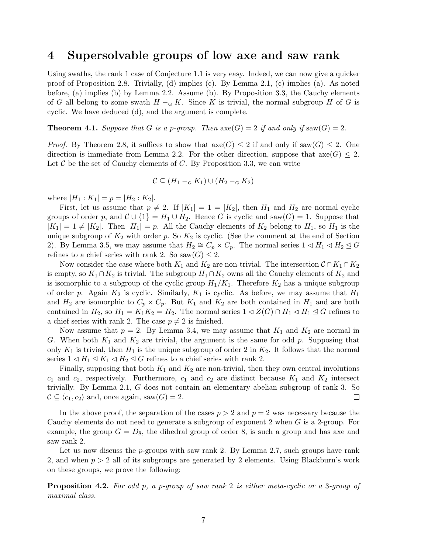### 4 Supersolvable groups of low axe and saw rank

Using swaths, the rank 1 case of Conjecture 1.1 is very easy. Indeed, we can now give a quicker proof of Proposition 2.8. Trivially, (d) implies (c). By Lemma 2.1, (c) implies (a). As noted before, (a) implies (b) by Lemma 2.2. Assume (b). By Proposition 3.3, the Cauchy elements of G all belong to some swath  $H - G K$ . Since K is trivial, the normal subgroup H of G is cyclic. We have deduced (d), and the argument is complete.

**Theorem 4.1.** Suppose that G is a p-group. Then  $\operatorname{axe}(G) = 2$  if and only if  $\operatorname{ saw}(G) = 2$ .

*Proof.* By Theorem 2.8, it suffices to show that  $\operatorname{axe}(G) \leq 2$  if and only if  $\operatorname{ saw}(G) \leq 2$ . One direction is immediate from Lemma 2.2. For the other direction, suppose that  $axe(G) \leq 2$ . Let C be the set of Cauchy elements of C. By Proposition 3.3, we can write

$$
\mathcal{C} \subseteq (H_1 - G K_1) \cup (H_2 - G K_2)
$$

where  $|H_1: K_1| = p = |H_2: K_2|$ .

First, let us assume that  $p \neq 2$ . If  $|K_1| = 1 = |K_2|$ , then  $H_1$  and  $H_2$  are normal cyclic groups of order p, and  $C \cup \{1\} = H_1 \cup H_2$ . Hence G is cyclic and saw $(G) = 1$ . Suppose that  $|K_1| = 1 \neq |K_2|$ . Then  $|H_1| = p$ . All the Cauchy elements of  $K_2$  belong to  $H_1$ , so  $H_1$  is the unique subgroup of  $K_2$  with order p. So  $K_2$  is cyclic. (See the comment at the end of Section 2). By Lemma 3.5, we may assume that  $H_2 \cong C_p \times C_p$ . The normal series  $1 \triangleleft H_1 \triangleleft H_2 \trianglelefteq G$ refines to a chief series with rank 2. So saw $(G) \leq 2$ .

Now consider the case where both  $K_1$  and  $K_2$  are non-trivial. The intersection  $\mathcal{C} \cap K_1 \cap K_2$ is empty, so  $K_1 \cap K_2$  is trivial. The subgroup  $H_1 \cap K_2$  owns all the Cauchy elements of  $K_2$  and is isomorphic to a subgroup of the cyclic group  $H_1/K_1$ . Therefore  $K_2$  has a unique subgroup of order p. Again  $K_2$  is cyclic. Similarly,  $K_1$  is cyclic. As before, we may assume that  $H_1$ and  $H_2$  are isomorphic to  $C_p \times C_p$ . But  $K_1$  and  $K_2$  are both contained in  $H_1$  and are both contained in  $H_2$ , so  $H_1 = K_1 K_2 = H_2$ . The normal series  $1 \triangleleft Z(G) \cap H_1 \triangleleft H_1 \trianglelefteq G$  refines to a chief series with rank 2. The case  $p \neq 2$  is finished.

Now assume that  $p = 2$ . By Lemma 3.4, we may assume that  $K_1$  and  $K_2$  are normal in G. When both  $K_1$  and  $K_2$  are trivial, the argument is the same for odd p. Supposing that only  $K_1$  is trivial, then  $H_1$  is the unique subgroup of order 2 in  $K_2$ . It follows that the normal series  $1 \triangleleft H_1 \trianglelefteq K_1 \triangleleft H_2 \trianglelefteq G$  refines to a chief series with rank 2.

Finally, supposing that both  $K_1$  and  $K_2$  are non-trivial, then they own central involutions  $c_1$  and  $c_2$ , respectively. Furthermore,  $c_1$  and  $c_2$  are distinct because  $K_1$  and  $K_2$  intersect trivially. By Lemma 2.1, G does not contain an elementary abelian subgroup of rank 3. So  $\mathcal{C} \subseteq \langle c_1, c_2 \rangle$  and, once again, saw $(G) = 2$ .  $\Box$ 

In the above proof, the separation of the cases  $p > 2$  and  $p = 2$  was necessary because the Cauchy elements do not need to generate a subgroup of exponent 2 when G is a 2-group. For example, the group  $G = D_8$ , the dihedral group of order 8, is such a group and has axe and saw rank 2.

Let us now discuss the  $p$ -groups with saw rank 2. By Lemma 2.7, such groups have rank 2, and when  $p > 2$  all of its subgroups are generated by 2 elements. Using Blackburn's work on these groups, we prove the following:

**Proposition 4.2.** For odd p, a p-group of saw rank 2 is either meta-cyclic or a 3-group of maximal class.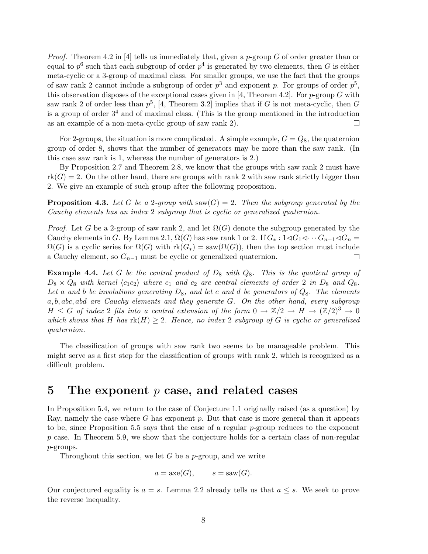*Proof.* Theorem 4.2 in [4] tells us immediately that, given a p-group G of order greater than or equal to  $p^6$  such that each subgroup of order  $p^4$  is generated by two elements, then G is either meta-cyclic or a 3-group of maximal class. For smaller groups, we use the fact that the groups of saw rank 2 cannot include a subgroup of order  $p^3$  and exponent p. For groups of order  $p^5$ , this observation disposes of the exceptional cases given in [4, Theorem 4.2]. For  $p$ -group G with saw rank 2 of order less than  $p^5$ , [4, Theorem 3.2] implies that if G is not meta-cyclic, then G is a group of order  $3<sup>4</sup>$  and of maximal class. (This is the group mentioned in the introduction as an example of a non-meta-cyclic group of saw rank 2).  $\Box$ 

For 2-groups, the situation is more complicated. A simple example,  $G = Q_8$ , the quaternion group of order 8, shows that the number of generators may be more than the saw rank. (In this case saw rank is 1, whereas the number of generators is 2.)

By Proposition 2.7 and Theorem 2.8, we know that the groups with saw rank 2 must have  $rk(G) = 2$ . On the other hand, there are groups with rank 2 with saw rank strictly bigger than 2. We give an example of such group after the following proposition.

**Proposition 4.3.** Let G be a 2-group with saw(G) = 2. Then the subgroup generated by the Cauchy elements has an index 2 subgroup that is cyclic or generalized quaternion.

*Proof.* Let G be a 2-group of saw rank 2, and let  $\Omega(G)$  denote the subgroup generated by the Cauchy elements in G. By Lemma 2.1,  $\Omega(G)$  has saw rank 1 or 2. If  $G_* : 1 \triangleleft G_1 \triangleleft \cdots G_{n-1} \triangleleft G_n =$  $\Omega(G)$  is a cyclic series for  $\Omega(G)$  with  $\text{rk}(G_*) = \text{sam}(\Omega(G))$ , then the top section must include a Cauchy element, so  $G_{n-1}$  must be cyclic or generalized quaternion.  $\Box$ 

**Example 4.4.** Let G be the central product of  $D_8$  with  $Q_8$ . This is the quotient group of  $D_8 \times Q_8$  with kernel  $\langle c_1 c_2 \rangle$  where  $c_1$  and  $c_2$  are central elements of order 2 in  $D_8$  and  $Q_8$ . Let a and b be involutions generating  $D_8$ , and let c and d be generators of  $Q_8$ . The elements a, b, abc, abd are Cauchy elements and they generate G. On the other hand, every subgroup  $H \leq G$  of index 2 fits into a central extension of the form  $0 \to \mathbb{Z}/2 \to H \to (\mathbb{Z}/2)^3 \to 0$ which shows that H has  $rk(H) \geq 2$ . Hence, no index 2 subgroup of G is cyclic or generalized quaternion.

The classification of groups with saw rank two seems to be manageable problem. This might serve as a first step for the classification of groups with rank 2, which is recognized as a difficult problem.

### 5 The exponent  $p$  case, and related cases

In Proposition 5.4, we return to the case of Conjecture 1.1 originally raised (as a question) by Ray, namely the case where G has exponent  $p$ . But that case is more general than it appears to be, since Proposition 5.5 says that the case of a regular  $p$ -group reduces to the exponent p case. In Theorem 5.9, we show that the conjecture holds for a certain class of non-regular p-groups.

Throughout this section, we let  $G$  be a p-group, and we write

$$
a = \mathrm{axe}(G), \qquad s = \mathrm{ saw}(G).
$$

Our conjectured equality is  $a = s$ . Lemma 2.2 already tells us that  $a \leq s$ . We seek to prove the reverse inequality.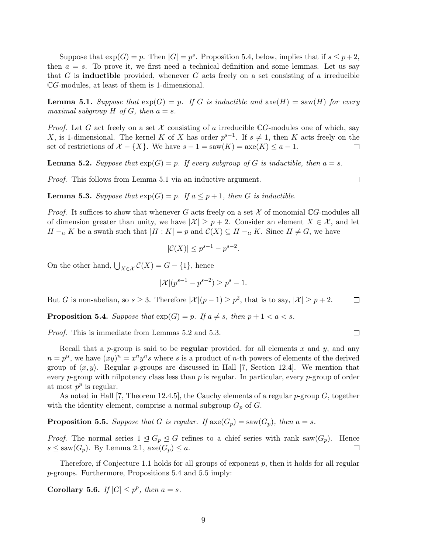Suppose that  $exp(G) = p$ . Then  $|G| = p^s$ . Proposition 5.4, below, implies that if  $s \leq p+2$ , then  $a = s$ . To prove it, we first need a technical definition and some lemmas. Let us say that G is **inductible** provided, whenever G acts freely on a set consisting of a irreducible CG-modules, at least of them is 1-dimensional.

**Lemma 5.1.** Suppose that  $exp(G) = p$ . If G is inductible and  $ave(H) = saw(H)$  for every maximal subgroup  $H$  of  $G$ , then  $a = s$ .

*Proof.* Let G act freely on a set X consisting of a irreducible  $\mathbb{C}G$ -modules one of which, say X, is 1-dimensional. The kernel K of X has order  $p^{s-1}$ . If  $s \neq 1$ , then K acts freely on the set of restrictions of  $\mathcal{X} - \{X\}$ . We have  $s - 1 = \text{saw}(K) = \text{axe}(K) \leq a - 1$ .  $\Box$ 

**Lemma 5.2.** Suppose that  $exp(G) = p$ . If every subgroup of G is inductible, then  $a = s$ .

Proof. This follows from Lemma 5.1 via an inductive argument.

 $\Box$ 

**Lemma 5.3.** Suppose that  $exp(G) = p$ . If  $a \leq p+1$ , then G is inductible.

*Proof.* It suffices to show that whenever G acts freely on a set  $X$  of monomial CG-modules all of dimension greater than unity, we have  $|\mathcal{X}| \geq p+2$ . Consider an element  $X \in \mathcal{X}$ , and let  $H -_{\mathcal{G}} K$  be a swath such that  $|H : K| = p$  and  $\mathcal{C}(X) \subseteq H -_{\mathcal{G}} K$ . Since  $H \neq G$ , we have

$$
|\mathcal{C}(X)| \le p^{s-1} - p^{s-2}.
$$

On the other hand,  $\bigcup_{X \in \mathcal{X}} C(X) = G - \{1\}$ , hence

$$
|\mathcal{X}|(p^{s-1} - p^{s-2}) \ge p^s - 1.
$$

But G is non-abelian, so  $s \geq 3$ . Therefore  $|\mathcal{X}|(p-1) \geq p^2$ , that is to say,  $|\mathcal{X}| \geq p+2$ .  $\Box$ 

**Proposition 5.4.** Suppose that  $exp(G) = p$ . If  $a \neq s$ , then  $p + 1 < a < s$ .

Proof. This is immediate from Lemmas 5.2 and 5.3.

Recall that a p-group is said to be **regular** provided, for all elements x and y, and any  $n = p^{\alpha}$ , we have  $(xy)^n = x^n y^n s$  where s is a product of n-th powers of elements of the derived group of  $\langle x, y \rangle$ . Regular p-groups are discussed in Hall [7, Section 12.4]. We mention that every p-group with nilpotency class less than  $p$  is regular. In particular, every p-group of order at most  $p^p$  is regular.

As noted in Hall [7, Theorem 12.4.5], the Cauchy elements of a regular  $p$ -group  $G$ , together with the identity element, comprise a normal subgroup  $G_p$  of  $G$ .

**Proposition 5.5.** Suppose that G is regular. If  $\operatorname{axe}(G_p) = \operatorname{ saw}(G_p)$ , then  $a = s$ .

*Proof.* The normal series  $1 \leq G_p \leq G$  refines to a chief series with rank saw $(G_p)$ . Hence  $s \leq \text{saw}(G_p)$ . By Lemma 2.1,  $\text{axe}(G_p) \leq a$ .  $\Box$ 

Therefore, if Conjecture 1.1 holds for all groups of exponent  $p$ , then it holds for all regular p-groups. Furthermore, Propositions 5.4 and 5.5 imply:

Corollary 5.6. If  $|G| \leq p^p$ , then  $a = s$ .

 $\Box$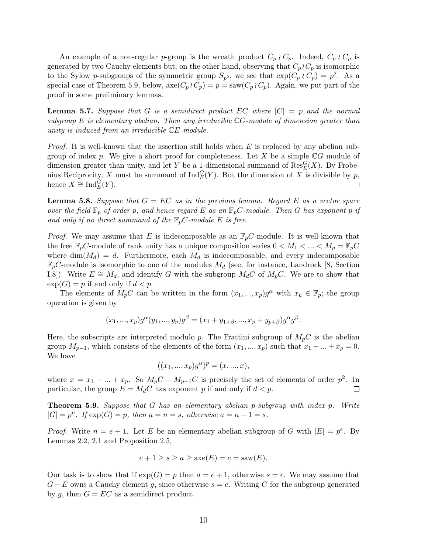An example of a non-regular p-group is the wreath product  $C_p \wr C_p$ . Indeed,  $C_p \wr C_p$  is generated by two Cauchy elements but, on the other hand, observing that  $C_p \wr C_p$  is isomorphic to the Sylow p-subgroups of the symmetric group  $S_{p^2}$ , we see that  $\exp(C_p \wr C_p) = p^2$ . As a special case of Theorem 5.9, below,  $\operatorname{axe}(C_p \wr C_p) = p = \operatorname{ saw}(C_p \wr C_p)$ . Again, we put part of the proof in some preliminary lemmas.

**Lemma 5.7.** Suppose that G is a semidirect product EC where  $|C| = p$  and the normal subgroup  $E$  is elementary abelian. Then any irreducible  $\mathbb{C}G$ -module of dimension greater than unity is induced from an irreducible CE-module.

*Proof.* It is well-known that the assertion still holds when  $E$  is replaced by any abelian subgroup of index p. We give a short proof for completeness. Let X be a simple  $\mathbb{C}G$  module of dimension greater than unity, and let Y be a 1-dimensional summand of  $\operatorname{Res}_{E}^{G}(X)$ . By Frobenius Reciprocity, X must be summand of  $\text{Ind}_{E}^{G}(Y)$ . But the dimension of X is divisible by p, hence  $X \cong \text{Ind}_{E}^{\widetilde{G}}(Y)$ .  $\Box$ 

**Lemma 5.8.** Suppose that  $G = EC$  as in the previous lemma. Regard E as a vector space over the field  $\mathbb{F}_p$  of order p, and hence regard E as an  $\mathbb{F}_pC$ -module. Then G has exponent p if and only if no direct summand of the  $\mathbb{F}_pC$ -module E is free.

*Proof.* We may assume that E is indecomposable as an  $\mathbb{F}_pC$ -module. It is well-known that the free  $\mathbb{F}_p C$ -module of rank unity has a unique composition series  $0 < M_1 < ... < M_p = \mathbb{F}_p C$ where  $\dim(M_d) = d$ . Furthermore, each  $M_d$  is indecomposable, and every indecomposable  $\mathbb{F}_p$ C-module is isomorphic to one of the modules  $M_d$  (see, for instance, Landrock [8, Section I.8]). Write  $E \cong M_d$ , and identify G with the subgroup  $M_dC$  of  $M_pC$ . We are to show that  $\exp(G) = p$  if and only if  $d < p$ .

The elements of  $M_pC$  can be written in the form  $(x_1, ..., x_p)g^{\alpha}$  with  $x_k \in \mathbb{F}_p$ ; the group operation is given by

$$
(x_1, ..., x_p)g^{\alpha}(y_1, ..., y_p)g^{\beta} = (x_1 + y_{1+\beta}, ..., x_p + y_{p+\beta})g^{\alpha}g^{\beta}.
$$

Here, the subscripts are interpreted modulo p. The Frattini subgroup of  $M_pC$  is the abelian group  $M_{p-1}$ , which consists of the elements of the form  $(x_1, ..., x_p)$  such that  $x_1 + ... + x_p = 0$ . We have

$$
((x_1, ..., x_p)g^{\alpha})^p = (x, ..., x),
$$

where  $x = x_1 + ... + x_p$ . So  $M_pC - M_{p-1}C$  is precisely the set of elements of order  $p^2$ . In particular, the group  $E = M_dC$  has exponent p if and only if  $d < p$ .  $\Box$ 

**Theorem 5.9.** Suppose that G has an elementary abelian p-subgroup with index  $p$ . Write  $|G| = p^n$ . If  $\exp(G) = p$ , then  $a = n = s$ , otherwise  $a = n - 1 = s$ .

*Proof.* Write  $n = e + 1$ . Let E be an elementary abelian subgroup of G with  $|E| = p^e$ . By Lemmas 2.2, 2.1 and Proposition 2.5,

$$
e + 1 \ge s \ge a \ge \text{axe}(E) = e = \text{ saw}(E).
$$

Our task is to show that if  $exp(G) = p$  then  $a = e + 1$ , otherwise  $s = e$ . We may assume that  $G - E$  owns a Cauchy element g, since otherwise  $s = e$ . Writing C for the subgroup generated by g, then  $G = EC$  as a semidirect product.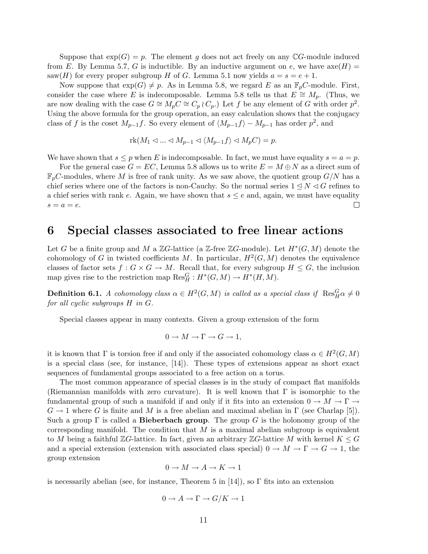Suppose that  $\exp(G) = p$ . The element g does not act freely on any CG-module induced from E. By Lemma 5.7, G is inductible. By an inductive argument on e, we have  $\operatorname{axe}(H)$  = saw(H) for every proper subgroup H of G. Lemma 5.1 now yields  $a = s = e + 1$ .

Now suppose that  $exp(G) \neq p$ . As in Lemma 5.8, we regard E as an  $\mathbb{F}_pC$ -module. First, consider the case where E is indecomposable. Lemma 5.8 tells us that  $E \cong M_p$ . (Thus, we are now dealing with the case  $G \cong M_pC \cong C_p \wr C_p$ . Let f be any element of G with order  $p^2$ . Using the above formula for the group operation, an easy calculation shows that the conjugacy class of f is the coset  $M_{p-1}f$ . So every element of  $\langle M_{p-1}f \rangle - M_{p-1}$  has order  $p^2$ , and

$$
rk(M_1 \lhd \ldots \lhd M_{p-1} \lhd \langle M_{p-1}f \rangle \lhd M_pC) = p.
$$

We have shown that  $s \leq p$  when E is indecomposable. In fact, we must have equality  $s = a = p$ .

For the general case  $G = EC$ , Lemma 5.8 allows us to write  $E = M \oplus N$  as a direct sum of  $\mathbb{F}_p$ C-modules, where M is free of rank unity. As we saw above, the quotient group  $G/N$  has a chief series where one of the factors is non-Cauchy. So the normal series  $1 \leq N \leq G$  refines to a chief series with rank e. Again, we have shown that  $s \le e$  and, again, we must have equality  $s = a = e$ .  $\Box$ 

#### 6 Special classes associated to free linear actions

Let G be a finite group and M a  $\mathbb{Z}G$ -lattice (a  $\mathbb{Z}$ -free  $\mathbb{Z}G$ -module). Let  $H^*(G,M)$  denote the cohomology of G in twisted coefficients M. In particular,  $H^2(G,M)$  denotes the equivalence classes of factor sets  $f: G \times G \to M$ . Recall that, for every subgroup  $H \leq G$ , the inclusion map gives rise to the restriction map  $\text{Res}_{H}^{G}: H^{*}(G, M) \to H^{*}(H, M)$ .

**Definition 6.1.** A cohomology class  $\alpha \in H^2(G,M)$  is called as a special class if  $\operatorname{Res}^G_H \alpha \neq 0$ for all cyclic subgroups H in G.

Special classes appear in many contexts. Given a group extension of the form

$$
0 \to M \to \Gamma \to G \to 1,
$$

it is known that  $\Gamma$  is torsion free if and only if the associated cohomology class  $\alpha \in H^2(G, M)$ is a special class (see, for instance, [14]). These types of extensions appear as short exact sequences of fundamental groups associated to a free action on a torus.

The most common appearance of special classes is in the study of compact flat manifolds (Riemannian manifolds with zero curvature). It is well known that  $\Gamma$  is isomorphic to the fundamental group of such a manifold if and only if it fits into an extension  $0 \to M \to \Gamma \to$  $G \to 1$  where G is finite and M is a free abelian and maximal abelian in  $\Gamma$  (see Charlap [5]). Such a group  $\Gamma$  is called a **Bieberbach group**. The group G is the holonomy group of the corresponding manifold. The condition that  $M$  is a maximal abelian subgroup is equivalent to M being a faithful ZG-lattice. In fact, given an arbitrary ZG-lattice M with kernel  $K \leq G$ and a special extension (extension with associated class special)  $0 \to M \to \Gamma \to G \to 1$ , the group extension

$$
0\to M\to A\to K\to 1
$$

is necessarily abelian (see, for instance, Theorem 5 in [14]), so  $\Gamma$  fits into an extension

$$
0 \to A \to \Gamma \to G/K \to 1
$$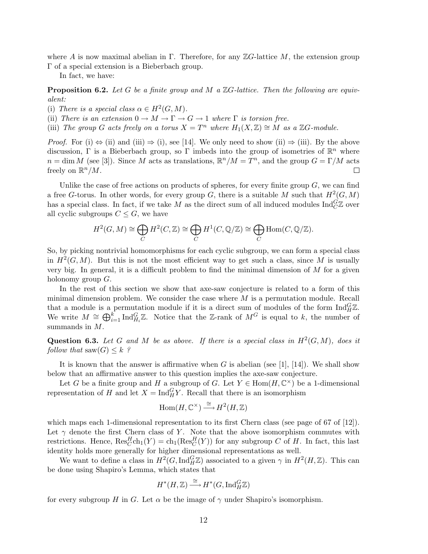where A is now maximal abelian in Γ. Therefore, for any  $\mathbb{Z}G$ -lattice M, the extension group Γ of a special extension is a Bieberbach group.

In fact, we have:

**Proposition 6.2.** Let G be a finite group and M a  $\mathbb{Z}G$ -lattice. Then the following are equivalent:

- (i) There is a special class  $\alpha \in H^2(G, M)$ .
- (ii) There is an extension  $0 \to M \to \Gamma \to G \to 1$  where  $\Gamma$  is torsion free.
- (iii) The group G acts freely on a torus  $X = T^n$  where  $H_1(X, \mathbb{Z}) \cong M$  as a  $\mathbb{Z}G$ -module.

*Proof.* For (i)  $\Leftrightarrow$  (ii) and (iii)  $\Rightarrow$  (i), see [14]. We only need to show (ii)  $\Rightarrow$  (iii). By the above discussion,  $\Gamma$  is a Bieberbach group, so  $\Gamma$  imbeds into the group of isometries of  $\mathbb{R}^n$  where  $n = \dim M$  (see [3]). Since M acts as translations,  $\mathbb{R}^n / M = T^n$ , and the group  $G = \Gamma / M$  acts freely on  $\mathbb{R}^n/M$ .  $\Box$ 

Unlike the case of free actions on products of spheres, for every finite group  $G$ , we can find a free G-torus. In other words, for every group G, there is a suitable M such that  $H^2(G, M)$ has a special class. In fact, if we take  $M$  as the direct sum of all induced modules  $\text{Ind}_{C}^{G}\mathbb{Z}$  over all cyclic subgroups  $C \leq G$ , we have

$$
H^2(G, M) \cong \bigoplus_C H^2(C, \mathbb{Z}) \cong \bigoplus_C H^1(C, \mathbb{Q}/\mathbb{Z}) \cong \bigoplus_C \text{Hom}(C, \mathbb{Q}/\mathbb{Z}).
$$

So, by picking nontrivial homomorphisms for each cyclic subgroup, we can form a special class in  $H^2(G, M)$ . But this is not the most efficient way to get such a class, since M is usually very big. In general, it is a difficult problem to find the minimal dimension of  $M$  for a given holonomy group G.

In the rest of this section we show that axe-saw conjecture is related to a form of this minimal dimension problem. We consider the case where  $M$  is a permutation module. Recall that a module is a permutation module if it is a direct sum of modules of the form  $\text{Ind}_{H}^{G} \mathbb{Z}$ . We write  $M \cong \bigoplus_{i=1}^k \text{Ind}_{H_i}^G \mathbb{Z}$ . Notice that the Z-rank of  $M^G$  is equal to k, the number of summands in M.

Question 6.3. Let G and M be as above. If there is a special class in  $H^2(G, M)$ , does it follow that  $\text{ saw}(G) \leq k$  ?

It is known that the answer is affirmative when G is abelian (see [1], [14]). We shall show below that an affirmative answer to this question implies the axe-saw conjecture.

Let G be a finite group and H a subgroup of G. Let  $Y \in Hom(H, \mathbb{C}^{\times})$  be a 1-dimensional representation of H and let  $X = \text{Ind}_{H}^{G} Y$ . Recall that there is an isomorphism

$$
\mathrm{Hom}(H,\mathbb{C}^{\times}) \stackrel{\cong}{\longrightarrow} H^2(H,\mathbb{Z})
$$

which maps each 1-dimensional representation to its first Chern class (see page of 67 of [12]). Let  $\gamma$  denote the first Chern class of Y. Note that the above isomorphism commutes with restrictions. Hence,  $\text{Res}_{C}^{H} \text{ch}_{1}(Y) = \text{ch}_{1}(\text{Res}_{C}^{H}(Y))$  for any subgroup C of H. In fact, this last identity holds more generally for higher dimensional representations as well.

We want to define a class in  $H^2(G, \text{Ind}_H^G \mathbb{Z})$  associated to a given  $\gamma$  in  $H^2(H, \mathbb{Z})$ . This can be done using Shapiro's Lemma, which states that

$$
H^*(H,\mathbb{Z}) \stackrel{\cong}{\longrightarrow} H^*(G,\mathrm{Ind}_H^G\mathbb{Z})
$$

for every subgroup H in G. Let  $\alpha$  be the image of  $\gamma$  under Shapiro's isomorphism.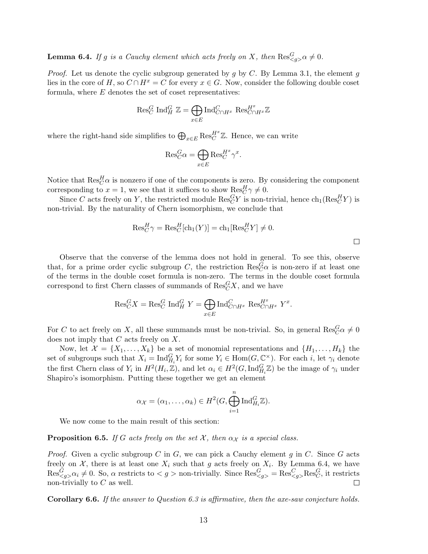**Lemma 6.4.** If g is a Cauchy element which acts freely on X, then  $\text{Res}_{\leq g>\alpha}^G \neq 0$ .

*Proof.* Let us denote the cyclic subgroup generated by q by C. By Lemma 3.1, the element q lies in the core of H, so  $C \cap H^x = C$  for every  $x \in G$ . Now, consider the following double coset formula, where  $E$  denotes the set of coset representatives:

$$
\operatorname{Res}_{C}^{G} \operatorname{Ind}_{H}^{G} \mathbb{Z} = \bigoplus_{x \in E} \operatorname{Ind}_{C \cap H^{x}}^{C} \operatorname{Res}_{C \cap H^{x}}^{H^{x}} \mathbb{Z}
$$

where the right-hand side simplifies to  $\bigoplus_{x \in E} \text{Res}_{C}^{H^{x}} \mathbb{Z}$ . Hence, we can write

$$
\mathrm{Res}_{C}^{G} \alpha = \bigoplus_{x \in E} \mathrm{Res}_{C}^{H^{x}} \gamma^{x}.
$$

Notice that  $\text{Res}_{C}^{H} \alpha$  is nonzero if one of the components is zero. By considering the component corresponding to  $x = 1$ , we see that it suffices to show  $\text{Res}_{C}^{H} \gamma \neq 0$ .

Since C acts freely on Y, the restricted module  $\text{Res}_C^G Y$  is non-trivial, hence  $\text{ch}_1(\text{Res}_C^H Y)$  is non-trivial. By the naturality of Chern isomorphism, we conclude that

$$
\text{Res}_{C}^{H}\gamma = \text{Res}_{C}^{H}[\text{ch}_{1}(Y)] = \text{ch}_{1}[\text{Res}_{C}^{H}Y] \neq 0.
$$

Observe that the converse of the lemma does not hold in general. To see this, observe that, for a prime order cyclic subgroup C, the restriction  $\text{Res}_{C}^{G} \alpha$  is non-zero if at least one of the terms in the double coset formula is non-zero. The terms in the double coset formula correspond to first Chern classes of summands of  $\mathrm{Res}_{C}^{G}X,$  and we have

$$
\operatorname{Res}_{C}^{G} X = \operatorname{Res}_{C}^{G} \operatorname{Ind}_{H}^{G} Y = \bigoplus_{x \in E} \operatorname{Ind}_{C \cap H^{x}}^{C} \operatorname{Res}_{C \cap H^{x}}^{H^{x}} Y^{x}.
$$

For C to act freely on X, all these summands must be non-trivial. So, in general  $\text{Res}_{C}^{G} \alpha \neq 0$ does not imply that  $C$  acts freely on  $X$ .

Now, let  $\mathcal{X} = \{X_1, \ldots, X_k\}$  be a set of monomial representations and  $\{H_1, \ldots, H_k\}$  the set of subgroups such that  $X_i = \text{Ind}_{H_i}^G Y_i$  for some  $Y_i \in \text{Hom}(G, \mathbb{C}^{\times})$ . For each i, let  $\gamma_i$  denote the first Chern class of  $Y_i$  in  $H^2(H_i, \mathbb{Z})$ , and let  $\alpha_i \in H^2(G, \mathrm{Ind}_{H_i}^G \mathbb{Z})$  be the image of  $\gamma_i$  under Shapiro's isomorphism. Putting these together we get an element

$$
\alpha_{\mathcal{X}} = (\alpha_1, \dots, \alpha_k) \in H^2(G, \bigoplus_{i=1}^n \mathrm{Ind}_{H_i}^G \mathbb{Z}).
$$

We now come to the main result of this section:

**Proposition 6.5.** If G acts freely on the set X, then  $\alpha_X$  is a special class.

*Proof.* Given a cyclic subgroup C in G, we can pick a Cauchy element g in C. Since G acts freely on  $X$ , there is at least one  $X_i$  such that g acts freely on  $X_i$ . By Lemma 6.4, we have  $\text{Res}_{\leq g>}^G \alpha_i \neq 0$ . So,  $\alpha$  restricts to  $g > \text{non-trivially. Since } \text{Res}_{\leq g>}^G = \text{Res}_{\leq g>}^G \text{Res}_{C}^G$ , it restricts non-trivially to  $C$  as well.  $\Box$ 

**Corollary 6.6.** If the answer to Question 6.3 is affirmative, then the axe-saw conjecture holds.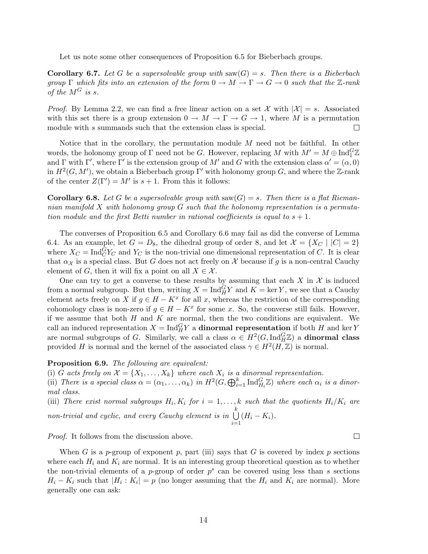Let us note some other consequences of Proposition 6.5 for Bieberbach groups.

**Corollary 6.7.** Let G be a supersolvable group with saw(G) = s. Then there is a Bieberbach group  $\Gamma$  which fits into an extension of the form  $0 \to M \to \Gamma \to G \to 0$  such that the Z-rank of the  $M^G$  is s.

*Proof.* By Lemma 2.2, we can find a free linear action on a set  $\mathcal{X}$  with  $|\mathcal{X}| = s$ . Associated with this set there is a group extension  $0 \to M \to \Gamma \to G \to 1$ , where M is a permutation module with s summands such that the extension class is special.  $\Box$ 

Notice that in the corollary, the permutation module  $M$  need not be faithful. In other words, the holonomy group of  $\Gamma$  need not be G. However, replacing M with  $M' = M \oplus \text{Ind}_{1}^{G} \mathbb{Z}$ and  $\Gamma$  with  $\Gamma'$ , where  $\Gamma'$  is the extension group of M' and G with the extension class  $\alpha' = (\alpha, 0)$ in  $H^2(G, M')$ , we obtain a Bieberbach group  $\Gamma'$  with holonomy group G, and where the Z-rank of the center  $Z(\Gamma') = M'$  is  $s + 1$ . From this it follows:

**Corollary 6.8.** Let G be a supersolvable group with  $\text{ saw}(G) = s$ . Then there is a flat Riemannian manifold  $X$  with holonomy group  $G$  such that the holonomy representation is a permutation module and the first Betti number in rational coefficients is equal to  $s + 1$ .

The converses of Proposition 6.5 and Corollary 6.6 may fail as did the converse of Lemma 6.4. As an example, let  $G = D_8$ , the dihedral group of order 8, and let  $\mathcal{X} = \{X_C \mid |C| = 2\}$ where  $X_C = \text{Ind}_C^G Y_C$  and  $Y_C$  is the non-trivial one dimensional representation of C. It is clear that  $\alpha_{\mathcal{X}}$  is a special class. But G does not act freely on  $\mathcal X$  because if g is a non-central Cauchy element of G, then it will fix a point on all  $X \in \mathcal{X}$ .

One can try to get a converse to these results by assuming that each  $X$  in  $\mathcal X$  is induced from a normal subgroup. But then, writing  $X = \text{Ind}_{H}^{G} Y$  and  $K = \text{ker } Y$ , we see that a Cauchy element acts freely on X if  $g \in H - K^x$  for all x, whereas the restriction of the corresponding cohomology class is non-zero if  $g \in H - K^x$  for some x. So, the converse still fails. However, if we assume that both  $H$  and  $K$  are normal, then the two conditions are equivalent. We call an induced representation  $X = \text{Ind}_{H}^{G} Y$  a **dinormal representation** if both H and ker Y are normal subgroups of G. Similarly, we call a class  $\alpha \in H^2(G, \text{Ind}_{H}^G \mathbb{Z})$  a **dinormal class** provided H is normal and the kernel of the associated class  $\gamma \in H^2(H, \mathbb{Z})$  is normal.

Proposition 6.9. The following are equivalent:

(i) G acts freely on  $\mathcal{X} = \{X_1, \ldots, X_k\}$  where each  $X_i$  is a dinormal representation.

(i) G acts freety on  $\lambda = {\lambda_1, ..., \lambda_k}$  where each  $\lambda_i$  is a dimormal representation.<br>
(ii) There is a special class  $\alpha = (\alpha_1, ..., \alpha_k)$  in  $H^2(G, \bigoplus_{i=1}^k \text{Ind}_{H_i}^G \mathbb{Z})$  where each  $\alpha_i$  is a dinormal class.

(iii) There exist normal subgroups  $H_i, K_i$  for  $i = 1, ..., k$  such that the quotients  $H_i/K_i$  are non-trivial and cyclic, and every Cauchy element is in  $\bigcup_{k=1}^{k}$  $(H_i - K_i).$ 

 $i=1$ 

Proof. It follows from the discussion above.

When G is a p-group of exponent p, part (iii) says that G is covered by index p sections where each  $H_i$  and  $K_i$  are normal. It is an interesting group theoretical question as to whether the non-trivial elements of a *p*-group of order  $p^s$  can be covered using less than *s* sections  $H_i - K_i$  such that  $|H_i: K_i| = p$  (no longer assuming that the  $H_i$  and  $K_i$  are normal). More generally one can ask:

 $\Box$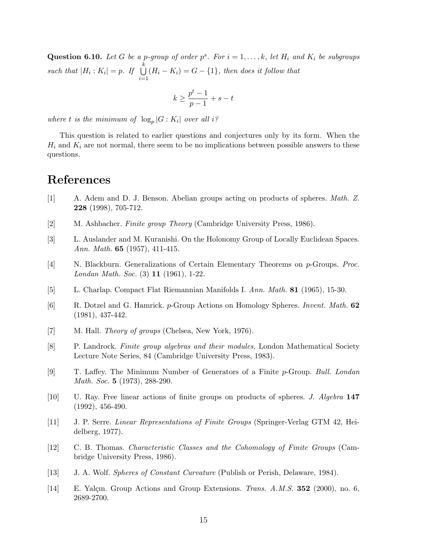**Question 6.10.** Let G be a p-group of order  $p^s$ . For  $i = 1, ..., k$ , let  $H_i$  and  $K_i$  be subgroups such that  $|H_i: K_i| = p$ . If  $\bigcup^k$  $i=1$  $(H_i - K_i) = G - \{1\}$ , then does it follow that

$$
k \ge \frac{p^t - 1}{p - 1} + s - t
$$

where t is the minimum of  $\log_p|G:K_i|$  over all i?

This question is related to earlier questions and conjectures only by its form. When the  $H_i$  and  $K_i$  are not normal, there seem to be no implications between possible answers to these questions.

# References

- [1] A. Adem and D. J. Benson. Abelian groups acting on products of spheres. Math. Z. 228 (1998), 705-712.
- [2] M. Ashbacher. Finite group Theory (Cambridge University Press, 1986).
- [3] L. Auslander and M. Kuranishi. On the Holonomy Group of Locally Euclidean Spaces. Ann. Math. 65 (1957), 411-415.
- [4] N. Blackburn. Generalizations of Certain Elementary Theorems on p-Groups. Proc. Londan Math. Soc. (3) 11 (1961), 1-22.
- [5] L. Charlap. Compact Flat Riemannian Manifolds I. Ann. Math. 81 (1965), 15-30.
- [6] R. Dotzel and G. Hamrick. p-Group Actions on Homology Spheres. Invent. Math. 62 (1981), 437-442.
- [7] M. Hall. *Theory of groups* (Chelsea, New York, 1976).
- [8] P. Landrock. Finite group algebras and their modules, London Mathematical Society Lecture Note Series, 84 (Cambridge University Press, 1983).
- [9] T. Laffey. The Minimum Number of Generators of a Finite p-Group. Bull. Londan Math. Soc. **5** (1973), 288-290.
- [10] U. Ray. Free linear actions of finite groups on products of spheres. J. Algebra 147 (1992), 456-490.
- [11] J. P. Serre. Linear Representations of Finite Groups (Springer-Verlag GTM 42, Heidelberg, 1977).
- [12] C. B. Thomas. Characteristic Classes and the Cohomology of Finite Groups (Cambridge University Press, 1986).
- [13] J. A. Wolf. Spheres of Constant Curvature (Publish or Perish, Delaware, 1984).
- [14] E. Yalçın. Group Actions and Group Extensions. Trans. A.M.S. 352 (2000), no. 6, 2689-2700.